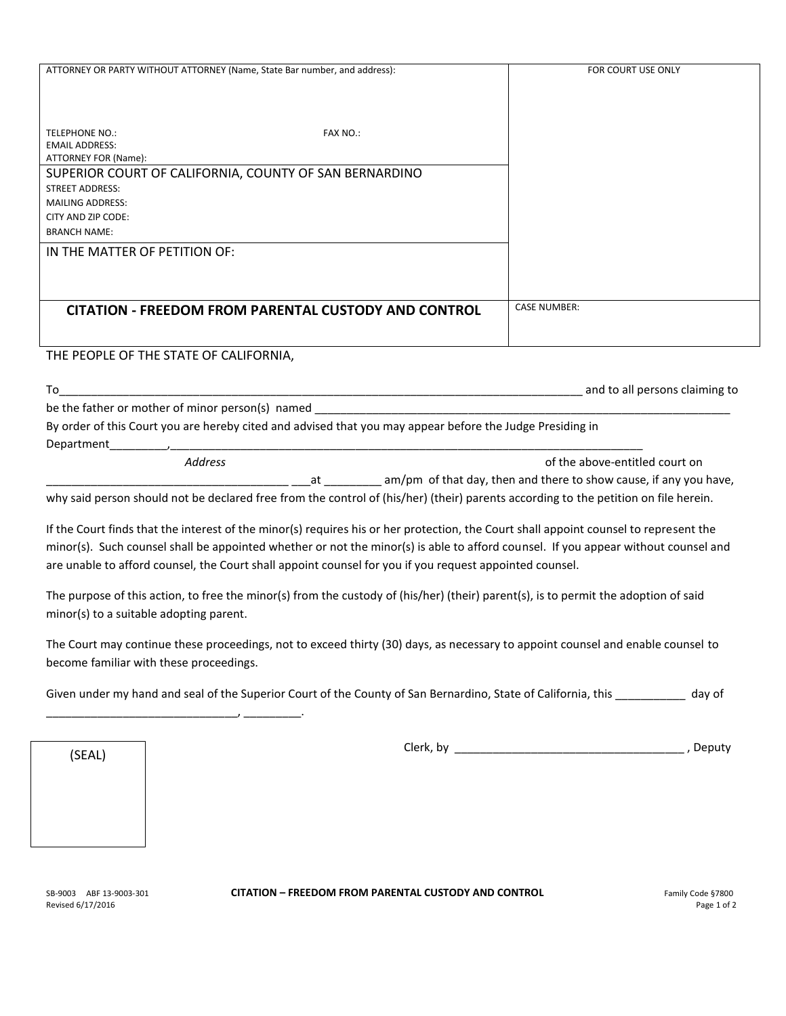| ATTORNEY OR PARTY WITHOUT ATTORNEY (Name, State Bar number, and address):                                 |                 | FOR COURT USE ONLY             |
|-----------------------------------------------------------------------------------------------------------|-----------------|--------------------------------|
|                                                                                                           |                 |                                |
|                                                                                                           |                 |                                |
|                                                                                                           |                 |                                |
| <b>TELEPHONE NO.:</b>                                                                                     | <b>FAX NO.:</b> |                                |
| <b>EMAIL ADDRESS:</b>                                                                                     |                 |                                |
| ATTORNEY FOR (Name):                                                                                      |                 |                                |
| SUPERIOR COURT OF CALIFORNIA, COUNTY OF SAN BERNARDINO                                                    |                 |                                |
| <b>STREET ADDRESS:</b>                                                                                    |                 |                                |
| <b>MAILING ADDRESS:</b>                                                                                   |                 |                                |
| CITY AND ZIP CODE:                                                                                        |                 |                                |
| <b>BRANCH NAME:</b>                                                                                       |                 |                                |
| IN THE MATTER OF PETITION OF:                                                                             |                 |                                |
|                                                                                                           |                 |                                |
|                                                                                                           |                 |                                |
|                                                                                                           |                 |                                |
| <b>CITATION - FREEDOM FROM PARENTAL CUSTODY AND CONTROL</b>                                               |                 | <b>CASE NUMBER:</b>            |
|                                                                                                           |                 |                                |
|                                                                                                           |                 |                                |
| THE PEOPLE OF THE STATE OF CALIFORNIA,                                                                    |                 |                                |
|                                                                                                           |                 |                                |
| To                                                                                                        |                 | and to all persons claiming to |
| be the father or mother of minor person(s) named                                                          |                 |                                |
| By order of this Court you are hereby cited and advised that you may appear before the Judge Presiding in |                 |                                |
| Department                                                                                                |                 |                                |
| Address                                                                                                   |                 | of the above-entitled court on |

| .                                                                   |
|---------------------------------------------------------------------|
| _ am/pm of that day, then and there to show cause, if any you have, |

why said person should not be declared free from the control of (his/her) (their) parents according to the petition on file herein.

If the Court finds that the interest of the minor(s) requires his or her protection, the Court shall appoint counsel to represent the minor(s). Such counsel shall be appointed whether or not the minor(s) is able to afford counsel. If you appear without counsel and are unable to afford counsel, the Court shall appoint counsel for you if you request appointed counsel.

The purpose of this action, to free the minor(s) from the custody of (his/her) (their) parent(s), is to permit the adoption of said minor(s) to a suitable adopting parent.

The Court may continue these proceedings, not to exceed thirty (30) days, as necessary to appoint counsel and enable counsel to become familiar with these proceedings.

| Given under my hand and seal of the Superior Court of the County of San Bernardino, State of California, this | day of |
|---------------------------------------------------------------------------------------------------------------|--------|
|---------------------------------------------------------------------------------------------------------------|--------|

(SEAL)

\_\_\_\_\_\_\_\_\_\_\_\_\_\_\_\_\_\_\_\_\_\_\_\_\_\_\_\_\_\_, \_\_\_\_\_\_\_\_\_.

Clerk, by \_\_\_\_\_\_\_\_ Clerk, by \_\_\_\_\_\_\_\_\_\_\_\_\_\_\_\_\_\_\_\_\_\_\_\_\_\_\_\_\_\_\_\_\_\_\_\_ , Deputy

## SB-9003 ABF 13-9003-301 **CITATION – FREEDOM FROM PARENTAL CUSTODY AND CONTROL** Family Code §7800

Revised 6/17/2016 Page 1 of 2